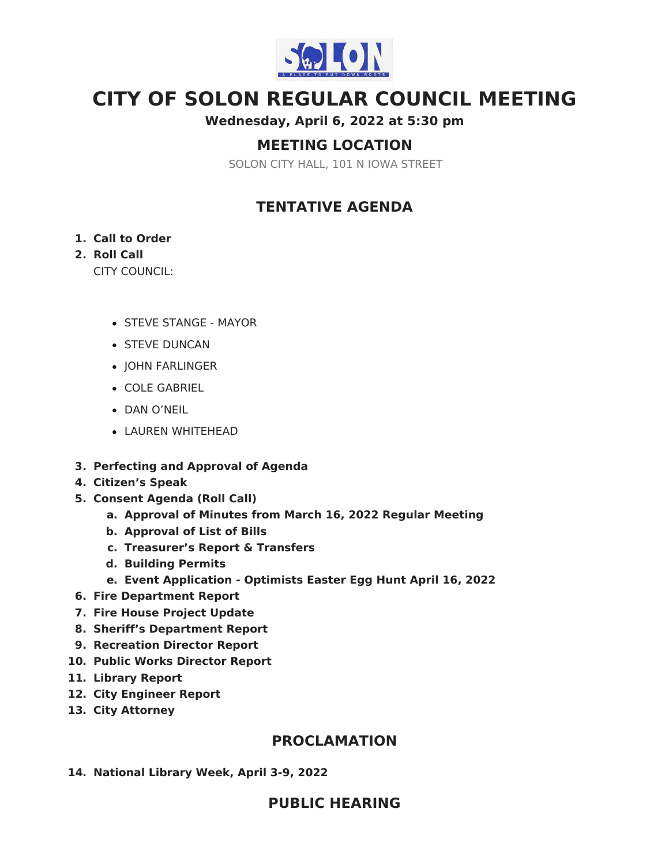

# **CITY OF SOLON REGULAR COUNCIL MEETING**

**Wednesday, April 6, 2022 at 5:30 pm**

# **MEETING LOCATION**

SOLON CITY HALL, 101 N IOWA STREET

# **TENTATIVE AGENDA**

### **1. Call to Order**

# **2. Roll Call**

CITY COUNCIL:

- STEVE STANGE MAYOR
- **STEVE DUNCAN**
- JOHN FARLINGER
- COLE GABRIEL
- DAN O'NEIL
- LAUREN WHITEHEAD
- **3. Perfecting and Approval of Agenda**
- **4. Citizen's Speak**
- **5. Consent Agenda (Roll Call)**
	- **a. Approval of Minutes from March 16, 2022 Regular Meeting**
	- **b. Approval of List of Bills**
	- **c. Treasurer's Report & Transfers**
	- **d. Building Permits**
	- **e. Event Application - Optimists Easter Egg Hunt April 16, 2022**
- **6. Fire Department Report**
- **7. Fire House Project Update**
- **8. Sheriff's Department Report**
- **9. Recreation Director Report**
- **10. Public Works Director Report**
- **11. Library Report**
- **12. City Engineer Report**
- **13. City Attorney**

# **PROCLAMATION**

**14. National Library Week, April 3-9, 2022**

# **PUBLIC HEARING**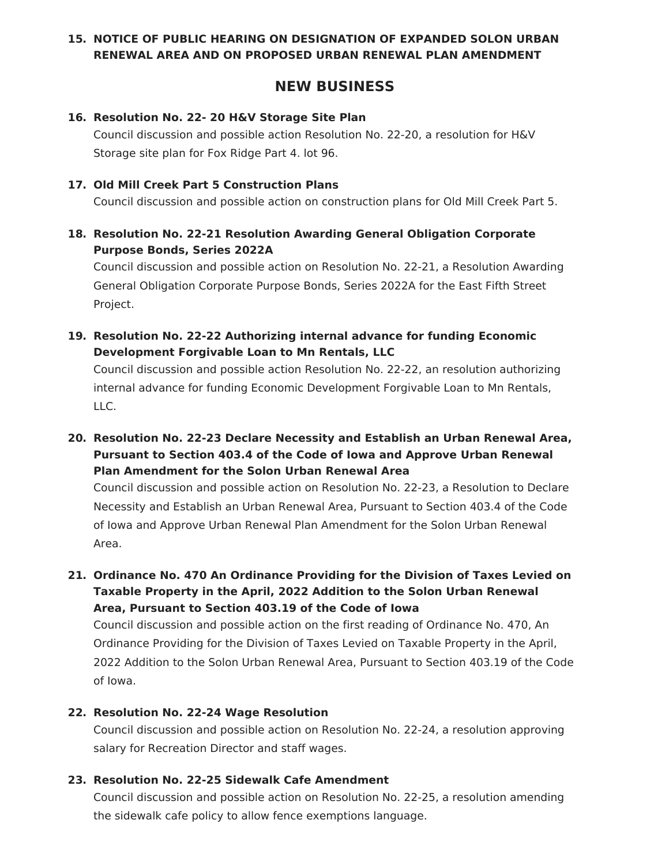### **15. NOTICE OF PUBLIC HEARING ON DESIGNATION OF EXPANDED SOLON URBAN RENEWAL AREA AND ON PROPOSED URBAN RENEWAL PLAN AMENDMENT**

# **NEW BUSINESS**

#### **16. Resolution No. 22- 20 H&V Storage Site Plan**

Council discussion and possible action Resolution No. 22-20, a resolution for H&V Storage site plan for Fox Ridge Part 4. lot 96.

#### **17. Old Mill Creek Part 5 Construction Plans**

Council discussion and possible action on construction plans for Old Mill Creek Part 5.

# **18. Resolution No. 22-21 Resolution Awarding General Obligation Corporate Purpose Bonds, Series 2022A**

Council discussion and possible action on Resolution No. 22-21, a Resolution Awarding General Obligation Corporate Purpose Bonds, Series 2022A for the East Fifth Street Project.

### **19. Resolution No. 22-22 Authorizing internal advance for funding Economic Development Forgivable Loan to Mn Rentals, LLC**

Council discussion and possible action Resolution No. 22-22, an resolution authorizing internal advance for funding Economic Development Forgivable Loan to Mn Rentals, LLC.

# **20. Resolution No. 22-23 Declare Necessity and Establish an Urban Renewal Area, Pursuant to Section 403.4 of the Code of Iowa and Approve Urban Renewal Plan Amendment for the Solon Urban Renewal Area**

Council discussion and possible action on Resolution No. 22-23, a Resolution to Declare Necessity and Establish an Urban Renewal Area, Pursuant to Section 403.4 of the Code of Iowa and Approve Urban Renewal Plan Amendment for the Solon Urban Renewal Area.

# **21. Ordinance No. 470 An Ordinance Providing for the Division of Taxes Levied on Taxable Property in the April, 2022 Addition to the Solon Urban Renewal Area, Pursuant to Section 403.19 of the Code of Iowa**

Council discussion and possible action on the first reading of Ordinance No. 470, An Ordinance Providing for the Division of Taxes Levied on Taxable Property in the April, 2022 Addition to the Solon Urban Renewal Area, Pursuant to Section 403.19 of the Code of Iowa.

### **22. Resolution No. 22-24 Wage Resolution**

Council discussion and possible action on Resolution No. 22-24, a resolution approving salary for Recreation Director and staff wages.

### **23. Resolution No. 22-25 Sidewalk Cafe Amendment**

Council discussion and possible action on Resolution No. 22-25, a resolution amending the sidewalk cafe policy to allow fence exemptions language.